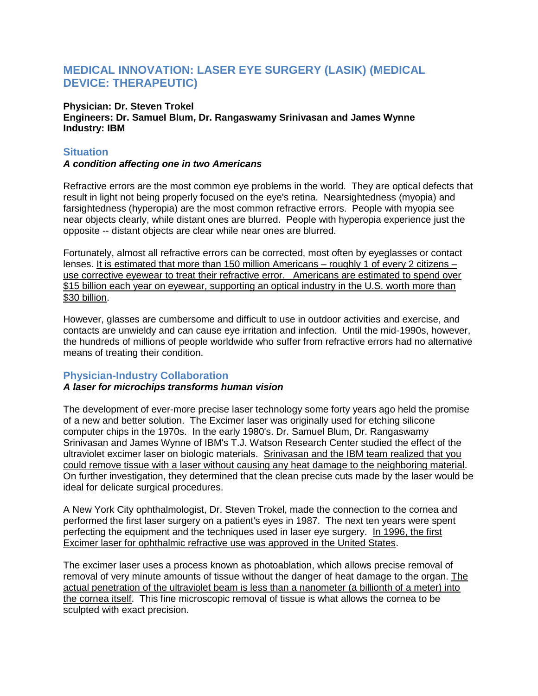# **MEDICAL INNOVATION: LASER EYE SURGERY (LASIK) (MEDICAL DEVICE: THERAPEUTIC)**

**Physician: Dr. Steven Trokel Engineers: Dr. Samuel Blum, Dr. Rangaswamy Srinivasan and James Wynne Industry: IBM**

## **Situation**

#### *A condition affecting one in two Americans*

Refractive errors are the most common eye problems in the world. They are optical defects that result in light not being properly focused on the eye's retina. Nearsightedness (myopia) and farsightedness (hyperopia) are the most common refractive errors. People with myopia see near objects clearly, while distant ones are blurred. People with hyperopia experience just the opposite -- distant objects are clear while near ones are blurred.

Fortunately, almost all refractive errors can be corrected, most often by eyeglasses or contact lenses. It is estimated that more than 150 million Americans – roughly 1 of every 2 citizens – use corrective eyewear to treat their refractive error. Americans are estimated to spend over \$15 billion each year on eyewear, supporting an optical industry in the U.S. worth more than \$30 billion.

However, glasses are cumbersome and difficult to use in outdoor activities and exercise, and contacts are unwieldy and can cause eye irritation and infection. Until the mid-1990s, however, the hundreds of millions of people worldwide who suffer from refractive errors had no alternative means of treating their condition.

# **Physician-Industry Collaboration**

### *A laser for microchips transforms human vision*

The development of ever-more precise laser technology some forty years ago held the promise of a new and better solution. The Excimer laser was originally used for etching silicone computer chips in the 1970s. In the early 1980's. Dr. Samuel Blum, Dr. Rangaswamy Srinivasan and James Wynne of IBM's T.J. Watson Research Center studied the effect of the ultraviolet excimer laser on biologic materials. Srinivasan and the IBM team realized that you could remove tissue with a laser without causing any heat damage to the neighboring material. On further investigation, they determined that the clean precise cuts made by the laser would be ideal for delicate surgical procedures.

A New York City ophthalmologist, Dr. Steven Trokel, made the connection to the cornea and performed the first laser surgery on a patient's eyes in 1987. The next ten years were spent perfecting the equipment and the techniques used in laser eye surgery. In 1996, the first Excimer laser for ophthalmic refractive use was approved in the United States.

The excimer laser uses a process known as photoablation, which allows precise removal of removal of very minute amounts of tissue without the danger of heat damage to the organ. The actual penetration of the ultraviolet beam is less than a nanometer (a billionth of a meter) into the cornea itself. This fine microscopic removal of tissue is what allows the cornea to be sculpted with exact precision.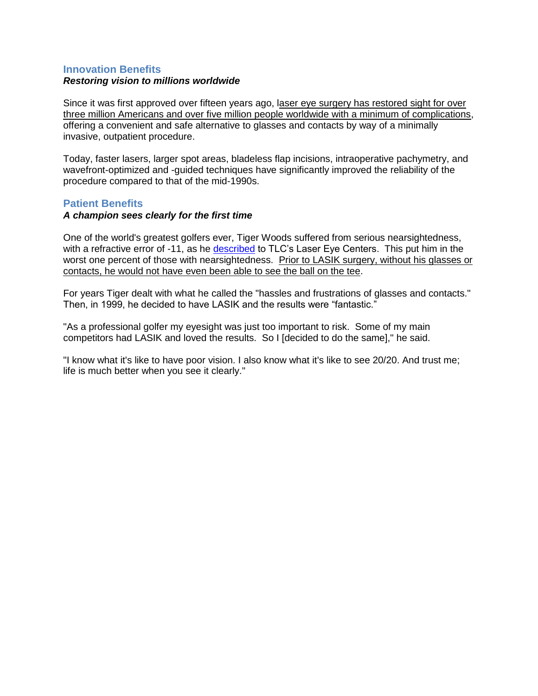### **Innovation Benefits** *Restoring vision to millions worldwide*

Since it was first approved over fifteen years ago, laser eye surgery has restored sight for over three million Americans and over five million people worldwide with a minimum of complications, offering a convenient and safe alternative to glasses and contacts by way of a minimally invasive, outpatient procedure.

Today, faster lasers, larger spot areas, bladeless flap incisions, intraoperative pachymetry, and wavefront-optimized and -guided techniques have significantly improved the reliability of the procedure compared to that of the mid-1990s.

### **Patient Benefits**

#### *A champion sees clearly for the first time*

One of the world's greatest golfers ever, Tiger Woods suffered from serious nearsightedness, with a refractive error of -11, as he [described](http://www.tlcvision.com/tiger-woods-lasik/) to TLC's Laser Eye Centers. This put him in the worst one percent of those with nearsightedness. Prior to LASIK surgery, without his glasses or contacts, he would not have even been able to see the ball on the tee.

For years Tiger dealt with what he called the "hassles and frustrations of glasses and contacts." Then, in 1999, he decided to have LASIK and the results were "fantastic."

"As a professional golfer my eyesight was just too important to risk. Some of my main competitors had LASIK and loved the results. So I [decided to do the same]," he said.

"I know what it's like to have poor vision. I also know what it's like to see 20/20. And trust me; life is much better when you see it clearly."